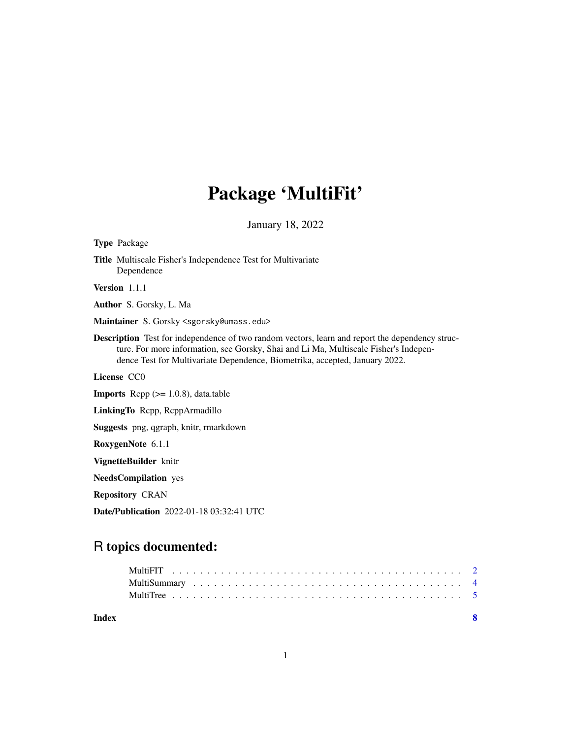# Package 'MultiFit'

January 18, 2022

| <b>Type Package</b>                                                                                                                                                                                                                                                           |
|-------------------------------------------------------------------------------------------------------------------------------------------------------------------------------------------------------------------------------------------------------------------------------|
| <b>Title</b> Multiscale Fisher's Independence Test for Multivariate<br>Dependence                                                                                                                                                                                             |
| Version 1.1.1                                                                                                                                                                                                                                                                 |
| Author S. Gorsky, L. Ma                                                                                                                                                                                                                                                       |
| Maintainer S. Gorsky <sgorsky@umass.edu></sgorsky@umass.edu>                                                                                                                                                                                                                  |
| <b>Description</b> Test for independence of two random vectors, learn and report the dependency struc-<br>ture. For more information, see Gorsky, Shai and Li Ma, Multiscale Fisher's Indepen-<br>dence Test for Multivariate Dependence, Biometrika, accepted, January 2022. |
| License CCO                                                                                                                                                                                                                                                                   |
| <b>Imports</b> Repp $(>= 1.0.8)$ , data.table                                                                                                                                                                                                                                 |
| LinkingTo Repp, ReppArmadillo                                                                                                                                                                                                                                                 |
| Suggests png, qgraph, knitr, rmarkdown                                                                                                                                                                                                                                        |
| RoxygenNote 6.1.1                                                                                                                                                                                                                                                             |
| VignetteBuilder knitr                                                                                                                                                                                                                                                         |
| <b>NeedsCompilation</b> yes                                                                                                                                                                                                                                                   |
| <b>Repository CRAN</b>                                                                                                                                                                                                                                                        |
| <b>Date/Publication</b> 2022-01-18 03:32:41 UTC                                                                                                                                                                                                                               |

# R topics documented:

| Index |  |  |  |  |  |  |  |  |  |  |  |  |  |  |  |  |  |
|-------|--|--|--|--|--|--|--|--|--|--|--|--|--|--|--|--|--|
|       |  |  |  |  |  |  |  |  |  |  |  |  |  |  |  |  |  |
|       |  |  |  |  |  |  |  |  |  |  |  |  |  |  |  |  |  |
|       |  |  |  |  |  |  |  |  |  |  |  |  |  |  |  |  |  |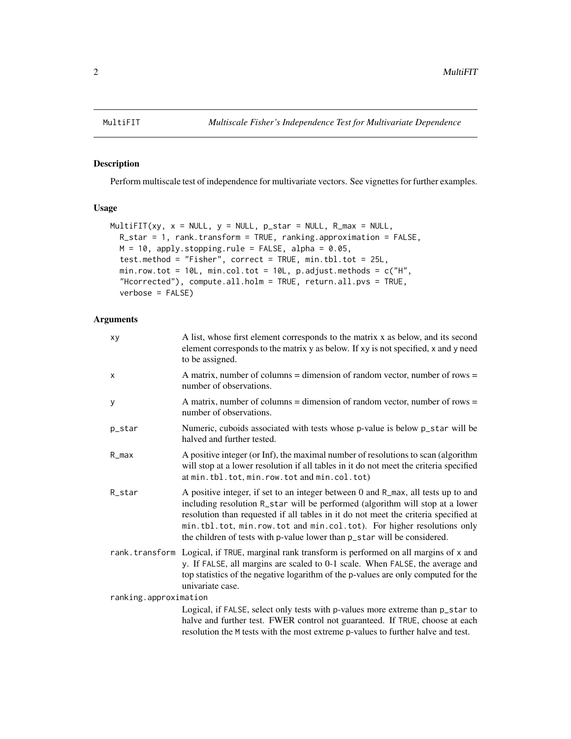<span id="page-1-0"></span>

## Description

Perform multiscale test of independence for multivariate vectors. See vignettes for further examples.

#### Usage

```
MultifIT(xy, x = NULL, y = NULL, p_{star} = NULL, R_{max} = NULL,R_star = 1, rank.transform = TRUE, ranking.approximation = FALSE,
 M = 10, apply.stopping.rule = FALSE, alpha = 0.05,
  test.method = "Fisher", correct = TRUE, min.tbl.tot = 25L,
 min.row.tot = 10L, min.col.tot = 10L, p.adjust.methods = c("H",
  "Hcorrected"), compute.all.holm = TRUE, return.all.pvs = TRUE,
 verbose = FALSE)
```
### Arguments

| xy                    | A list, whose first element corresponds to the matrix x as below, and its second<br>element corresponds to the matrix y as below. If xy is not specified, x and y need<br>to be assigned.                                                                                                                                                                                                                       |
|-----------------------|-----------------------------------------------------------------------------------------------------------------------------------------------------------------------------------------------------------------------------------------------------------------------------------------------------------------------------------------------------------------------------------------------------------------|
| X                     | A matrix, number of columns = dimension of random vector, number of rows =<br>number of observations.                                                                                                                                                                                                                                                                                                           |
| У                     | A matrix, number of columns = dimension of random vector, number of rows =<br>number of observations.                                                                                                                                                                                                                                                                                                           |
| p_star                | Numeric, cuboids associated with tests whose p-value is below p_star will be<br>halved and further tested.                                                                                                                                                                                                                                                                                                      |
| R_max                 | A positive integer (or Inf), the maximal number of resolutions to scan (algorithm<br>will stop at a lower resolution if all tables in it do not meet the criteria specified<br>at min.tbl.tot, min.row.tot and min.col.tot)                                                                                                                                                                                     |
| R_star                | A positive integer, if set to an integer between 0 and R_max, all tests up to and<br>including resolution R_star will be performed (algorithm will stop at a lower<br>resolution than requested if all tables in it do not meet the criteria specified at<br>min.tbl.tot, min.row.tot and min.col.tot). For higher resolutions only<br>the children of tests with p-value lower than p_star will be considered. |
|                       | rank.transform Logical, if TRUE, marginal rank transform is performed on all margins of x and<br>y. If FALSE, all margins are scaled to 0-1 scale. When FALSE, the average and<br>top statistics of the negative logarithm of the p-values are only computed for the<br>univariate case.                                                                                                                        |
| ranking.approximation |                                                                                                                                                                                                                                                                                                                                                                                                                 |
|                       | Logical, if FALSE, select only tests with p-values more extreme than p_star to                                                                                                                                                                                                                                                                                                                                  |
|                       | halve and further test. FWER control not guaranteed. If TRUE, choose at each                                                                                                                                                                                                                                                                                                                                    |
|                       | resolution the M tests with the most extreme p-values to further halve and test.                                                                                                                                                                                                                                                                                                                                |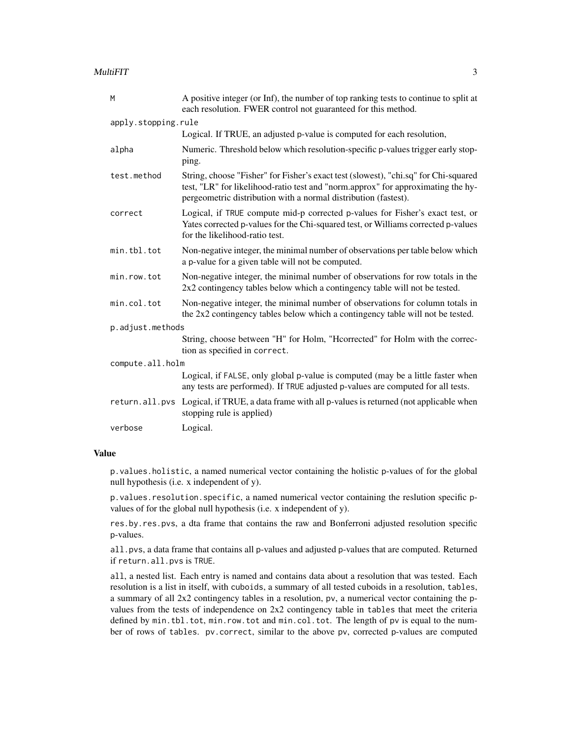| M                   | A positive integer (or Inf), the number of top ranking tests to continue to split at<br>each resolution. FWER control not guaranteed for this method.                                                                                      |  |  |  |  |  |
|---------------------|--------------------------------------------------------------------------------------------------------------------------------------------------------------------------------------------------------------------------------------------|--|--|--|--|--|
| apply.stopping.rule |                                                                                                                                                                                                                                            |  |  |  |  |  |
|                     | Logical. If TRUE, an adjusted p-value is computed for each resolution,                                                                                                                                                                     |  |  |  |  |  |
| alpha               | Numeric. Threshold below which resolution-specific p-values trigger early stop-<br>ping.                                                                                                                                                   |  |  |  |  |  |
| test.method         | String, choose "Fisher" for Fisher's exact test (slowest), "chi.sq" for Chi-squared<br>test, "LR" for likelihood-ratio test and "norm.approx" for approximating the hy-<br>pergeometric distribution with a normal distribution (fastest). |  |  |  |  |  |
| correct             | Logical, if TRUE compute mid-p corrected p-values for Fisher's exact test, or<br>Yates corrected p-values for the Chi-squared test, or Williams corrected p-values<br>for the likelihood-ratio test.                                       |  |  |  |  |  |
| min.tbl.tot         | Non-negative integer, the minimal number of observations per table below which<br>a p-value for a given table will not be computed.                                                                                                        |  |  |  |  |  |
| min.row.tot         | Non-negative integer, the minimal number of observations for row totals in the<br>$2x2$ contingency tables below which a contingency table will not be tested.                                                                             |  |  |  |  |  |
| min.col.tot         | Non-negative integer, the minimal number of observations for column totals in<br>the 2x2 contingency tables below which a contingency table will not be tested.                                                                            |  |  |  |  |  |
| p.adjust.methods    |                                                                                                                                                                                                                                            |  |  |  |  |  |
|                     | String, choose between "H" for Holm, "Hcorrected" for Holm with the correc-<br>tion as specified in correct.                                                                                                                               |  |  |  |  |  |
| compute.all.holm    |                                                                                                                                                                                                                                            |  |  |  |  |  |
|                     | Logical, if FALSE, only global p-value is computed (may be a little faster when<br>any tests are performed). If TRUE adjusted p-values are computed for all tests.                                                                         |  |  |  |  |  |
|                     | return. all. pvs Logical, if TRUE, a data frame with all p-values is returned (not applicable when<br>stopping rule is applied)                                                                                                            |  |  |  |  |  |
| verbose             | Logical.                                                                                                                                                                                                                                   |  |  |  |  |  |

#### Value

p.values.holistic, a named numerical vector containing the holistic p-values of for the global null hypothesis (i.e. x independent of y).

p.values.resolution.specific, a named numerical vector containing the reslution specific pvalues of for the global null hypothesis (i.e. x independent of y).

res.by.res.pvs, a dta frame that contains the raw and Bonferroni adjusted resolution specific p-values.

all.pvs, a data frame that contains all p-values and adjusted p-values that are computed. Returned if return.all.pvs is TRUE.

all, a nested list. Each entry is named and contains data about a resolution that was tested. Each resolution is a list in itself, with cuboids, a summary of all tested cuboids in a resolution, tables, a summary of all 2x2 contingency tables in a resolution, pv, a numerical vector containing the pvalues from the tests of independence on 2x2 contingency table in tables that meet the criteria defined by min.tbl.tot, min.row.tot and min.col.tot. The length of pv is equal to the number of rows of tables. pv.correct, similar to the above pv, corrected p-values are computed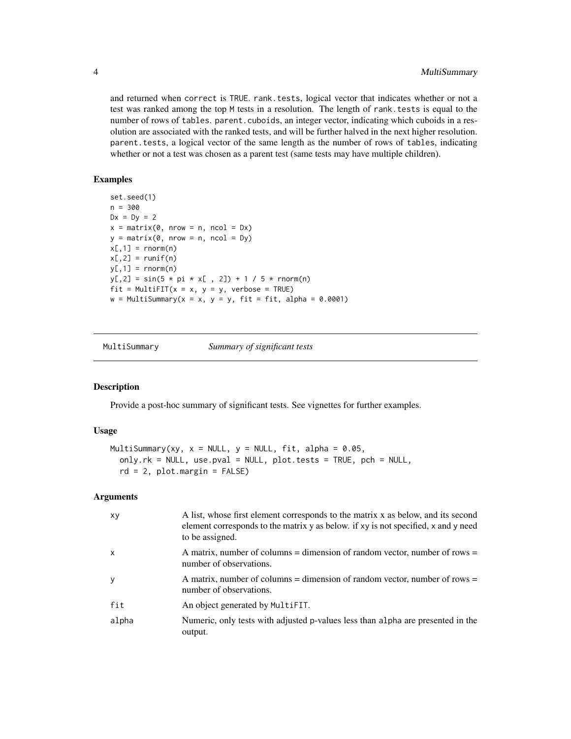and returned when correct is TRUE. rank.tests, logical vector that indicates whether or not a test was ranked among the top M tests in a resolution. The length of rank.tests is equal to the number of rows of tables. parent.cuboids, an integer vector, indicating which cuboids in a resolution are associated with the ranked tests, and will be further halved in the next higher resolution. parent.tests, a logical vector of the same length as the number of rows of tables, indicating whether or not a test was chosen as a parent test (same tests may have multiple children).

#### Examples

```
set.seed(1)
n = 300Dx = Dy = 2x = matrix(0, nrow = n, ncol = Dx)y = matrix(0, nrow = n, ncol = Dy)x[, 1] = \text{rnorm}(n)x[, 2] = runif(n)y[, 1] = \text{rnorm}(n)y[, 2] = \sin(5 * pi * x[, 2]) + 1 / 5 * rnorm(n)fit = MultiFIT(x = x, y = y, verbose = TRUE)w = Multisummary(x = x, y = y, fit = fit, alpha = 0.0001)
```
MultiSummary *Summary of significant tests*

#### Description

Provide a post-hoc summary of significant tests. See vignettes for further examples.

#### Usage

```
MultiSummary(xy, x = NULL, y = NULL, fit, alpha = 0.05,
  only.rk = NULL, use.pval = NULL, plot.tests = TRUE, pch = NULL,
  rd = 2, plot.margin = FALSE)
```
#### Arguments

| XV           | A list, whose first element corresponds to the matrix x as below, and its second<br>element corresponds to the matrix y as below. If xy is not specified, x and y need<br>to be assigned. |
|--------------|-------------------------------------------------------------------------------------------------------------------------------------------------------------------------------------------|
| X            | A matrix, number of columns = dimension of random vector, number of rows =<br>number of observations.                                                                                     |
| <sub>V</sub> | A matrix, number of columns = dimension of random vector, number of rows =<br>number of observations.                                                                                     |
| fit          | An object generated by MultiFIT.                                                                                                                                                          |
| alpha        | Numeric, only tests with adjusted p-values less than alpha are presented in the<br>output.                                                                                                |

<span id="page-3-0"></span>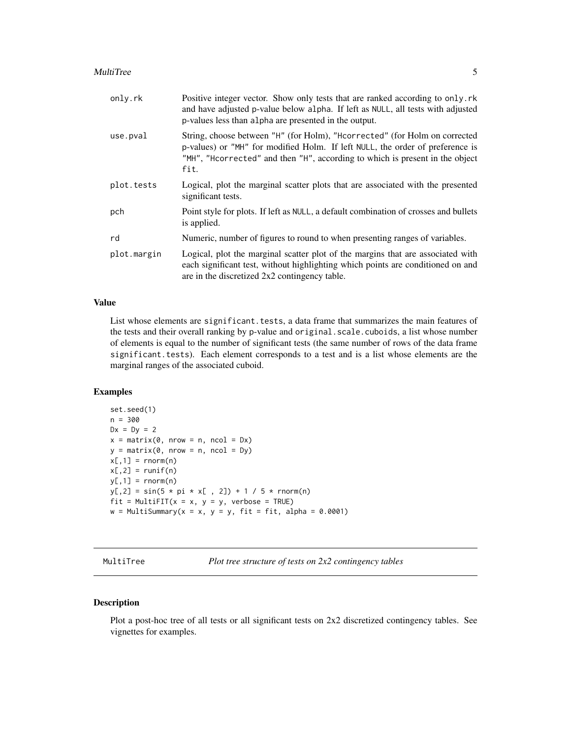#### <span id="page-4-0"></span>MultiTree 5

| only.rk     | Positive integer vector. Show only tests that are ranked according to only. rk<br>and have adjusted p-value below alpha. If left as NULL, all tests with adjusted<br>p-values less than alpha are presented in the output.                          |
|-------------|-----------------------------------------------------------------------------------------------------------------------------------------------------------------------------------------------------------------------------------------------------|
| use.pval    | String, choose between "H" (for Holm), "Hoorrected" (for Holm on corrected<br>p-values) or "MH" for modified Holm. If left NULL, the order of preference is<br>"MH", "Heorrected" and then "H", according to which is present in the object<br>fit. |
| plot.tests  | Logical, plot the marginal scatter plots that are associated with the presented<br>significant tests.                                                                                                                                               |
| pch         | Point style for plots. If left as NULL, a default combination of crosses and bullets<br>is applied.                                                                                                                                                 |
| rd          | Numeric, number of figures to round to when presenting ranges of variables.                                                                                                                                                                         |
| plot.margin | Logical, plot the marginal scatter plot of the margins that are associated with<br>each significant test, without highlighting which points are conditioned on and<br>are in the discretized 2x2 contingency table.                                 |

#### Value

List whose elements are significant.tests, a data frame that summarizes the main features of the tests and their overall ranking by p-value and original.scale.cuboids, a list whose number of elements is equal to the number of significant tests (the same number of rows of the data frame significant.tests). Each element corresponds to a test and is a list whose elements are the marginal ranges of the associated cuboid.

#### Examples

```
set.seed(1)
n = 300
Dx = Dy = 2x = matrix(0, nrow = n, ncol = Dx)y = matrix(0, nrow = n, ncol = Dy)x[,1] = \text{rnorm}(n)x[, 2] = runif(n)y[,1] = rnorm(n)y[, 2] = \sin(5 * pi * x[, 2]) + 1 / 5 * rnorm(n)fit = MultiFIT(x = x, y = y, verbose = TRUE)w = Multisummary(x = x, y = y, fit = fit, alpha = 0.0001)
```
MultiTree *Plot tree structure of tests on 2x2 contingency tables*

### Description

Plot a post-hoc tree of all tests or all significant tests on 2x2 discretized contingency tables. See vignettes for examples.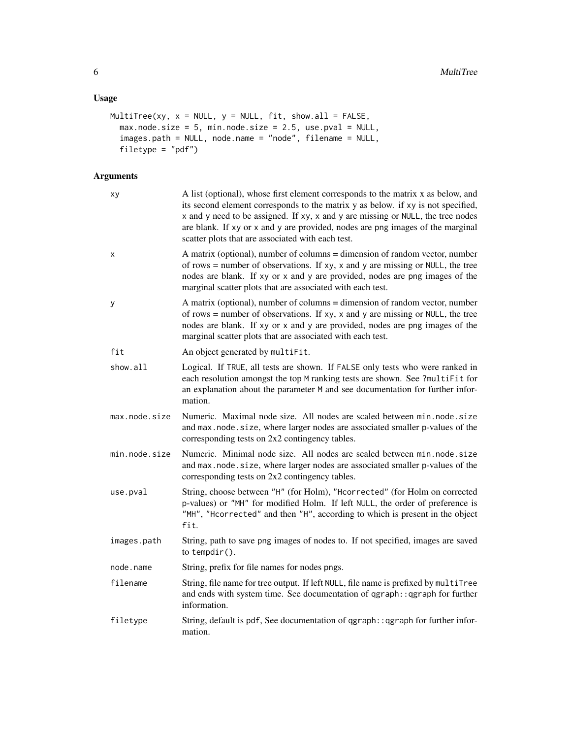# Usage

```
MultiTree(xy, x = NULL, y = NULL, fit, show.all = FALSE,
 max.node.size = 5, min.node.size = 2.5, use.pval = NULL,
 images.path = NULL, node.name = "node", filename = NULL,
 filetype = "pdf")
```
# Arguments

| xy            | A list (optional), whose first element corresponds to the matrix x as below, and<br>its second element corresponds to the matrix y as below. if xy is not specified,<br>x and y need to be assigned. If xy, x and y are missing or NULL, the tree nodes<br>are blank. If xy or x and y are provided, nodes are png images of the marginal<br>scatter plots that are associated with each test. |
|---------------|------------------------------------------------------------------------------------------------------------------------------------------------------------------------------------------------------------------------------------------------------------------------------------------------------------------------------------------------------------------------------------------------|
| X             | A matrix (optional), number of columns = dimension of random vector, number<br>of rows = number of observations. If $xy$ , $x$ and $y$ are missing or NULL, the tree<br>nodes are blank. If xy or x and y are provided, nodes are png images of the<br>marginal scatter plots that are associated with each test.                                                                              |
| у             | A matrix (optional), number of columns = dimension of random vector, number<br>of rows = number of observations. If $xy$ , x and y are missing or NULL, the tree<br>nodes are blank. If xy or x and y are provided, nodes are png images of the<br>marginal scatter plots that are associated with each test.                                                                                  |
| fit           | An object generated by multiFit.                                                                                                                                                                                                                                                                                                                                                               |
| show.all      | Logical. If TRUE, all tests are shown. If FALSE only tests who were ranked in<br>each resolution amongst the top M ranking tests are shown. See ?multiFit for<br>an explanation about the parameter M and see documentation for further infor-<br>mation.                                                                                                                                      |
| max.node.size | Numeric. Maximal node size. All nodes are scaled between min.node.size<br>and max.node.size, where larger nodes are associated smaller p-values of the<br>corresponding tests on 2x2 contingency tables.                                                                                                                                                                                       |
| min.node.size | Numeric. Minimal node size. All nodes are scaled between min.node.size<br>and max.node.size, where larger nodes are associated smaller p-values of the<br>corresponding tests on 2x2 contingency tables.                                                                                                                                                                                       |
| use.pval      | String, choose between "H" (for Holm), "Hcorrected" (for Holm on corrected<br>p-values) or "MH" for modified Holm. If left NULL, the order of preference is<br>"MH", "Hcorrected" and then "H", according to which is present in the object<br>fit.                                                                                                                                            |
| images.path   | String, path to save png images of nodes to. If not specified, images are saved<br>to tempdir().                                                                                                                                                                                                                                                                                               |
| node.name     | String, prefix for file names for nodes pngs.                                                                                                                                                                                                                                                                                                                                                  |
| filename      | String, file name for tree output. If left NULL, file name is prefixed by multiTree<br>and ends with system time. See documentation of qgraph:: qgraph for further<br>information.                                                                                                                                                                                                             |
| filetype      | String, default is pdf, See documentation of qgraph: : qgraph for further infor-<br>mation.                                                                                                                                                                                                                                                                                                    |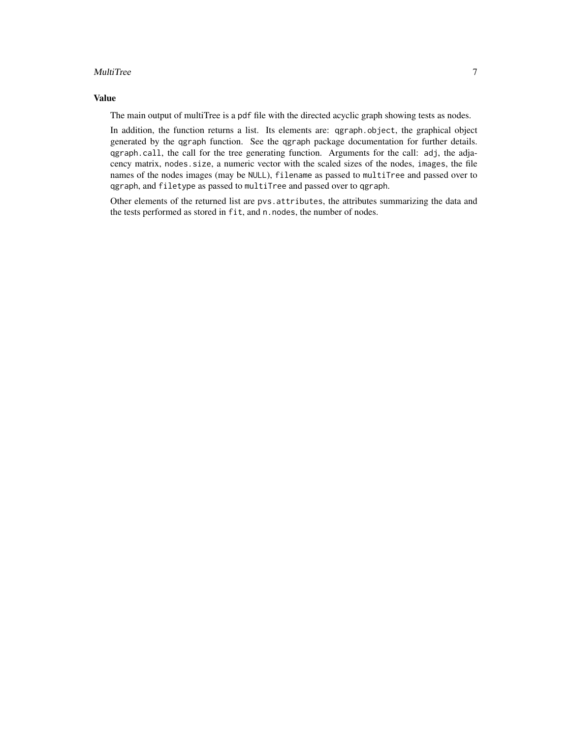#### MultiTree 2012 2013 2014 2022 2022 2023 2024 2022 2023 2024 2022 2023 2024 2022 2023 2024 2022 2023 2024 2022

# Value

The main output of multiTree is a pdf file with the directed acyclic graph showing tests as nodes.

In addition, the function returns a list. Its elements are: qgraph.object, the graphical object generated by the qgraph function. See the qgraph package documentation for further details. qgraph.call, the call for the tree generating function. Arguments for the call: adj, the adjacency matrix, nodes.size, a numeric vector with the scaled sizes of the nodes, images, the file names of the nodes images (may be NULL), filename as passed to multiTree and passed over to qgraph, and filetype as passed to multiTree and passed over to qgraph.

Other elements of the returned list are pvs.attributes, the attributes summarizing the data and the tests performed as stored in fit, and n.nodes, the number of nodes.